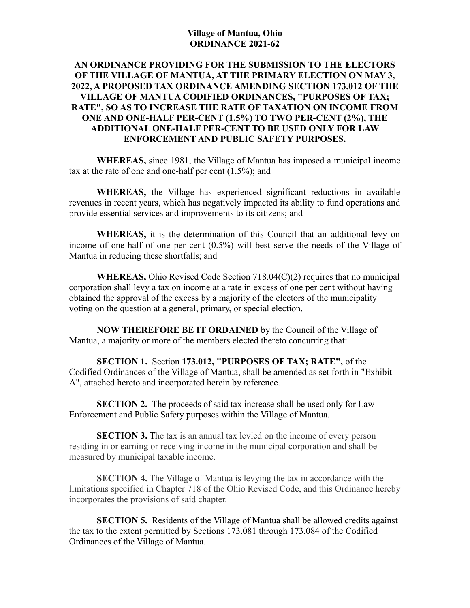#### **Village of Mantua, Ohio ORDINANCE 2021-62**

### **AN ORDINANCE PROVIDING FOR THE SUBMISSION TO THE ELECTORS OF THE VILLAGE OF MANTUA, AT THE PRIMARY ELECTION ON MAY 3, 2022, A PROPOSED TAX ORDINANCE AMENDING SECTION 173.012 OF THE VILLAGE OF MANTUA CODIFIED ORDINANCES, "PURPOSES OF TAX; RATE", SO AS TO INCREASE THE RATE OF TAXATION ON INCOME FROM ONE AND ONE-HALF PER-CENT (1.5%) TO TWO PER-CENT (2%), THE ADDITIONAL ONE-HALF PER-CENT TO BE USED ONLY FOR LAW ENFORCEMENT AND PUBLIC SAFETY PURPOSES.**

**WHEREAS,** since 1981, the Village of Mantua has imposed a municipal income tax at the rate of one and one-half per cent (1.5%); and

**WHEREAS,** the Village has experienced significant reductions in available revenues in recent years, which has negatively impacted its ability to fund operations and provide essential services and improvements to its citizens; and

**WHEREAS,** it is the determination of this Council that an additional levy on income of one-half of one per cent (0.5%) will best serve the needs of the Village of Mantua in reducing these shortfalls; and

**WHEREAS,** Ohio Revised Code Section 718.04(C)(2) requires that no municipal corporation shall levy a tax on income at a rate in excess of one per cent without having obtained the approval of the excess by a majority of the electors of the municipality voting on the question at a general, primary, or special election.

**NOW THEREFORE BE IT ORDAINED** by the Council of the Village of Mantua, a majority or more of the members elected thereto concurring that:

**SECTION 1.** Section **173.012, "PURPOSES OF TAX; RATE",** of the Codified Ordinances of the Village of Mantua, shall be amended as set forth in "Exhibit A", attached hereto and incorporated herein by reference.

**SECTION 2.** The proceeds of said tax increase shall be used only for Law Enforcement and Public Safety purposes within the Village of Mantua.

**SECTION 3.** The tax is an annual tax levied on the income of every person residing in or earning or receiving income in the municipal corporation and shall be measured by municipal taxable income.

**SECTION 4.** The Village of Mantua is levying the tax in accordance with the limitations specified in Chapter 718 of the Ohio Revised Code, and this Ordinance hereby incorporates the provisions of said chapter.

**SECTION 5.** Residents of the Village of Mantua shall be allowed credits against the tax to the extent permitted by Sections 173.081 through 173.084 of the Codified Ordinances of the Village of Mantua.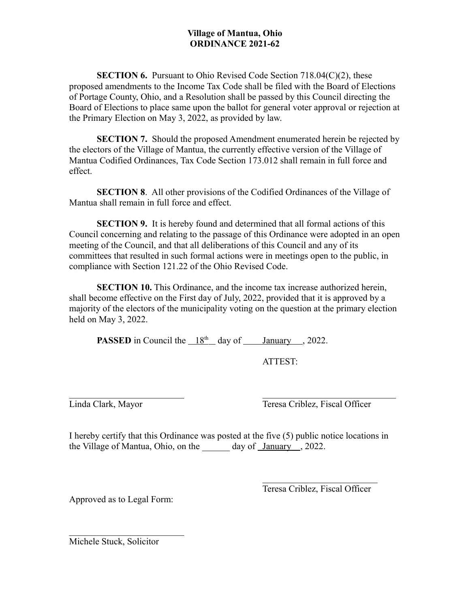#### **Village of Mantua, Ohio ORDINANCE 2021-62**

**SECTION 6.** Pursuant to Ohio Revised Code Section 718.04(C)(2), these proposed amendments to the Income Tax Code shall be filed with the Board of Elections of Portage County, Ohio, and a Resolution shall be passed by this Council directing the Board of Elections to place same upon the ballot for general voter approval or rejection at the Primary Election on May 3, 2022, as provided by law.

**SECTION 7.** Should the proposed Amendment enumerated herein be rejected by the electors of the Village of Mantua, the currently effective version of the Village of Mantua Codified Ordinances, Tax Code Section 173.012 shall remain in full force and effect.

**SECTION 8**. All other provisions of the Codified Ordinances of the Village of Mantua shall remain in full force and effect.

**SECTION 9.** It is hereby found and determined that all formal actions of this Council concerning and relating to the passage of this Ordinance were adopted in an open meeting of the Council, and that all deliberations of this Council and any of its committees that resulted in such formal actions were in meetings open to the public, in compliance with Section 121.22 of the Ohio Revised Code.

**SECTION 10.** This Ordinance, and the income tax increase authorized herein, shall become effective on the First day of July, 2022, provided that it is approved by a majority of the electors of the municipality voting on the question at the primary election held on May 3, 2022.

**PASSED** in Council the  $18<sup>th</sup>$  day of January , 2022.

ATTEST:

Linda Clark, Mayor Teresa Criblez, Fiscal Officer

I hereby certify that this Ordinance was posted at the five (5) public notice locations in the Village of Mantua, Ohio, on the day of January , 2022.

Approved as to Legal Form:

Teresa Criblez, Fiscal Officer

Michele Stuck, Solicitor